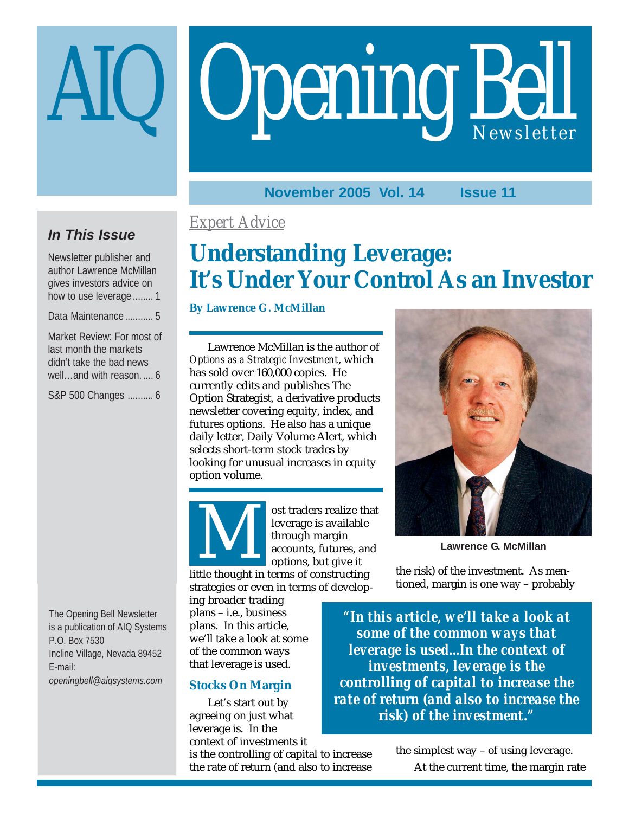# Opening Bell

## **November 2005 Vol. 14 Issue 11**

## **In This Issue**

Newsletter publisher and author Lawrence McMillan gives investors advice on how to use leverage ........ 1

Data Maintenance ........... 5

Market Review: For most of last month the markets didn't take the bad news well…and with reason. .... 6

S&P 500 Changes .......... 6

The Opening Bell Newsletter is a publication of AIQ Systems P.O. Box 7530 Incline Village, Nevada 89452 E-mail: *openingbell@aiqsystems.com*

## *Expert Advice*

# **Understanding Leverage: It's Under Your Control As an Investor**

## **By Lawrence G. McMillan**

Lawrence McMillan is the author of *Options as a Strategic Investment*, which has sold over 160,000 copies. He currently edits and publishes The Option Strategist, a derivative products newsletter covering equity, index, and futures options. He also has a unique daily letter, Daily Volume Alert, which selects short-term stock trades by looking for unusual increases in equity option volume.



ost traders realize that leverage is available through margin accounts, futures, and options, but give it little thought in terms of constructing<br>
accounts, futures, and<br>
dittle thought in terms of constructing

strategies or even in terms of develop-

ing broader trading plans – i.e., business plans. In this article, we'll take a look at some of the common ways that leverage is used.

## **Stocks On Margin**

Let's start out by agreeing on just what leverage is. In the context of investments it

is the controlling of capital to increase the rate of return (and also to increase



**Lawrence G. McMillan**

the risk) of the investment. As mentioned, margin is one way – probably

*"In this article, we'll take a look at some of the common ways that leverage is used...In the context of investments, leverage is the controlling of capital to increase the rate of return (and also to increase the risk) of the investment."*

> the simplest way – of using leverage. At the current time, the margin rate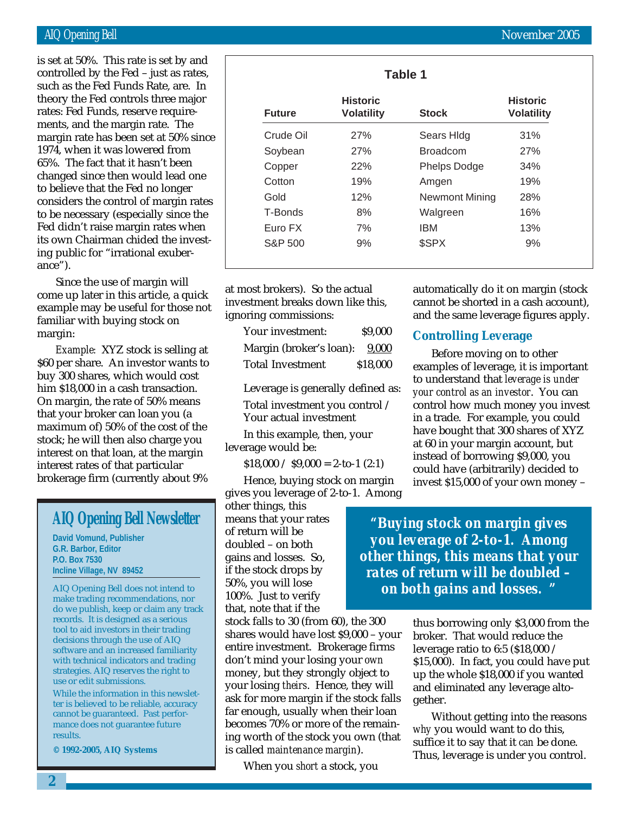theory the Fed controls three major is set at 50%. This rate is set by and controlled by the Fed – just as rates, such as the Fed Funds Rate, are. In rates: Fed Funds, reserve requirements, and the margin rate. The margin rate has been set at 50% since 1974, when it was lowered from 65%. The fact that it hasn't been changed since then would lead one to believe that the Fed no longer considers the control of margin rates to be necessary (especially since the Fed didn't raise margin rates when its own Chairman chided the investing public for "irrational exuberance").

Since the use of margin will come up later in this article, a quick example may be useful for those not familiar with buying stock on margin:

*Example:* XYZ stock is selling at \$60 per share. An investor wants to buy 300 shares, which would cost him \$18,000 in a cash transaction. On margin, the rate of 50% means that your broker can loan you (a maximum of) 50% of the cost of the stock; he will then also charge you interest on that loan, at the margin interest rates of that particular brokerage firm (currently about 9%

## **AIQ Opening Bell Newsletter**

**David Vomund, Publisher G.R. Barbor, Editor P.O. Box 7530 Incline Village, NV 89452**

AIQ Opening Bell does not intend to make trading recommendations, nor do we publish, keep or claim any track records. It is designed as a serious tool to aid investors in their trading decisions through the use of AIQ software and an increased familiarity with technical indicators and trading strategies. AIQ reserves the right to use or edit submissions.

While the information in this newsletter is believed to be reliable, accuracy cannot be guaranteed. Past performance does not guarantee future results.

**© 1992-2005, AIQ Systems**

at most brokers). So the actual investment breaks down like this, ignoring commissions:

| Your investment:        | \$9,000  |
|-------------------------|----------|
| Margin (broker's loan): | 9,000    |
| <b>Total Investment</b> | \$18,000 |

Leverage is generally defined as: Total investment you control / Your actual investment

In this example, then, your leverage would be:

 $$18,000 / $9,000 = 2$ -to-1 (2:1)

Hence, buying stock on margin gives you leverage of 2-to-1. Among

other things, this means that your rates of return will be doubled – on both gains and losses. So, if the stock drops by 50%, you will lose 100%. Just to verify that, note that if the

stock falls to 30 (from 60), the 300 shares would have lost \$9,000 – your entire investment. Brokerage firms don't mind your losing your *own* money, but they strongly object to your losing *theirs*. Hence, they will ask for more margin if the stock falls far enough, usually when their loan becomes 70% or more of the remaining worth of the stock you own (that is called *maintenance margin*).

When you *short* a stock, you

automatically do it on margin (stock cannot be shorted in a cash account), and the same leverage figures apply.

## **Controlling Leverage**

Before moving on to other examples of leverage, it is important to understand that *leverage is under your control as an investor*. You can control how much money you invest in a trade. For example, you could have bought that 300 shares of XYZ at 60 in your margin account, but instead of borrowing \$9,000, you could have (arbitrarily) decided to invest \$15,000 of your own money –

*"Buying stock on margin gives you leverage of 2-to-1. Among other things, this means that your rates of return will be doubled – on both gains and losses. "*

> thus borrowing only \$3,000 from the broker. That would reduce the leverage ratio to 6:5 (\$18,000 / \$15,000). In fact, you could have put up the whole \$18,000 if you wanted and eliminated any leverage altogether.

Without getting into the reasons *why* you would want to do this, suffice it to say that it *can* be done. Thus, leverage is under you control.

| <b>Future</b> | <b>Historic</b><br><b>Volatility</b> | <b>Stock</b>          | <b>Historic</b><br><b>Volatility</b> |
|---------------|--------------------------------------|-----------------------|--------------------------------------|
| Crude Oil     | 27%                                  | Sears Hidg            | 31%                                  |
| Soybean       | 27%                                  | <b>Broadcom</b>       | 27%                                  |
| Copper        | 22%                                  | <b>Phelps Dodge</b>   | 34%                                  |
| Cotton        | 19%                                  | Amgen                 | 19%                                  |
| Gold          | 12%                                  | <b>Newmont Mining</b> | 28%                                  |
| T-Bonds       | 8%                                   | Walgreen              | 16%                                  |
| Euro FX       | 7%                                   | <b>IBM</b>            | 13%                                  |
| S&P 500       | 9%                                   | \$SPX                 | 9%                                   |

**2**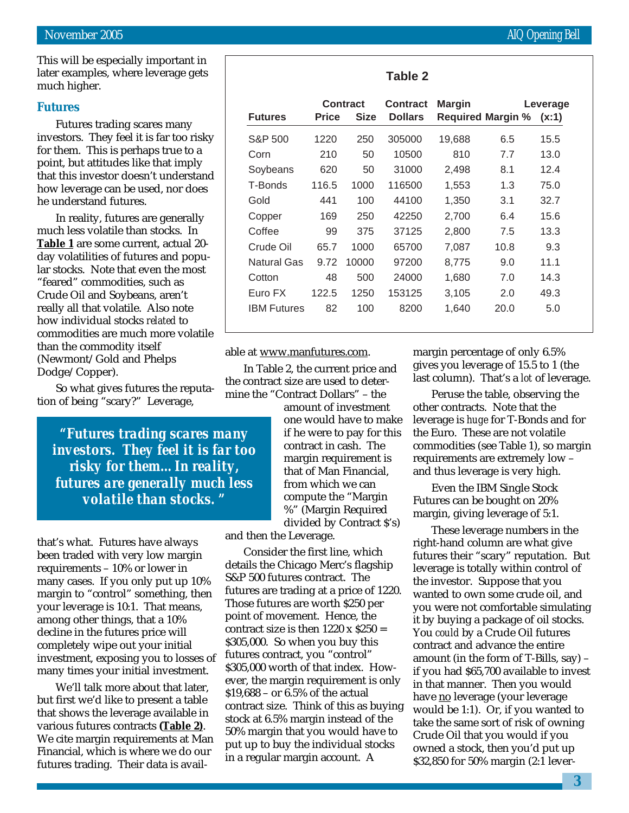This will be especially important in later examples, where leverage gets much higher.

## **Futures**

Futures trading scares many investors. They feel it is far too risky for them. This is perhaps true to a point, but attitudes like that imply that this investor doesn't understand how leverage can be used, nor does he understand futures.

In reality, futures are generally much less volatile than stocks. In **Table 1** are some current, actual 20 day volatilities of futures and popular stocks. Note that even the most "feared" commodities, such as Crude Oil and Soybeans, aren't really all that volatile. Also note how individual stocks *related* to commodities are much more volatile than the commodity itself (Newmont/Gold and Phelps Dodge/Copper).

So what gives futures the reputation of being "scary?" Leverage,

*"Futures trading scares many investors. They feel it is far too risky for them…In reality, futures are generally much less volatile than stocks. "*

that's what. Futures have always been traded with very low margin requirements – 10% or lower in many cases. If you only put up 10% margin to "control" something, then your leverage is 10:1. That means, among other things, that a 10% decline in the futures price will completely wipe out your initial investment, exposing you to losses of many times your initial investment.

We'll talk more about that later, but first we'd like to present a table that shows the leverage available in various futures contracts **(Table 2)**. We cite margin requirements at Man Financial, which is where we do our futures trading. Their data is availmine the "Contract Dollars" – the amount of investment one would have to make if he were to pay for this contract in cash. The margin requirement is that of Man Financial, from which we can compute the "Margin %" (Margin Required

divided by Contract \$'s) and then the Leverage.

able at www.manfutures.com.

In Table 2, the current price and the contract size are used to deter-

Consider the first line, which details the Chicago Merc's flagship S&P 500 futures contract. The futures are trading at a price of 1220. Those futures are worth \$250 per point of movement. Hence, the contract size is then  $1220 \times $250 =$ \$305,000. So when you buy this futures contract, you "control" \$305,000 worth of that index. However, the margin requirement is only \$19,688 – or 6.5% of the actual contract size. Think of this as buying stock at 6.5% margin instead of the 50% margin that you would have to put up to buy the individual stocks in a regular margin account. A

margin percentage of only 6.5% gives you leverage of 15.5 to 1 (the last column). That's a *lot* of leverage.

Peruse the table, observing the other contracts. Note that the leverage is *huge* for T-Bonds and for the Euro. These are not volatile commodities (see Table 1), so margin requirements are extremely low – and thus leverage is very high.

Even the IBM Single Stock Futures can be bought on 20% margin, giving leverage of 5:1.

These leverage numbers in the right-hand column are what give futures their "scary" reputation. But leverage is totally within control of the investor. Suppose that you wanted to own some crude oil, and you were not comfortable simulating it by buying a package of oil stocks. You *could* by a Crude Oil futures contract and advance the entire amount (in the form of T-Bills, say) – if you had \$65,700 available to invest in that manner. Then you would have no leverage (your leverage would be 1:1). Or, if you wanted to take the same sort of risk of owning Crude Oil that you would if you owned a stock, then you'd put up \$32,850 for 50% margin (2:1 lever-

| L |  |
|---|--|
|---|--|

| <b>Futures</b>     | Price | <b>Contract</b><br><b>Size</b> | <b>Contract</b><br><b>Dollars</b> | <b>Margin</b><br><b>Required Margin %</b> |      | Leverage<br>(x:1) |
|--------------------|-------|--------------------------------|-----------------------------------|-------------------------------------------|------|-------------------|
| S&P 500            | 1220  | 250                            | 305000                            | 19,688                                    | 6.5  | 15.5              |
| Corn               | 210   | 50                             | 10500                             | 810                                       | 7.7  | 13.0              |
| Soybeans           | 620   | 50                             | 31000                             | 2,498                                     | 8.1  | 12.4              |
| T-Bonds            | 116.5 | 1000                           | 116500                            | 1,553                                     | 1.3  | 75.0              |
| Gold               | 441   | 100                            | 44100                             | 1,350                                     | 3.1  | 32.7              |
| Copper             | 169   | 250                            | 42250                             | 2,700                                     | 6.4  | 15.6              |
| Coffee             | 99    | 375                            | 37125                             | 2,800                                     | 7.5  | 13.3              |
| Crude Oil          | 65.7  | 1000                           | 65700                             | 7,087                                     | 10.8 | 9.3               |
| Natural Gas        | 9.72  | 10000                          | 97200                             | 8.775                                     | 9.0  | 11.1              |
| Cotton             | 48    | 500                            | 24000                             | 1,680                                     | 7.0  | 14.3              |
| Euro FX            | 122.5 | 1250                           | 153125                            | 3,105                                     | 2.0  | 49.3              |
| <b>IBM Futures</b> | 82    | 100                            | 8200                              | 1,640                                     | 20.0 | 5.0               |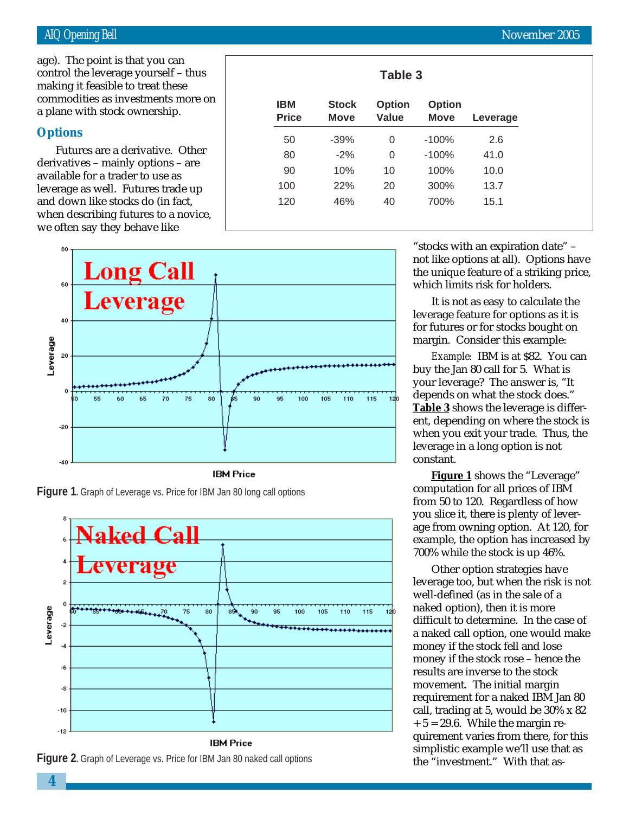commodities as investments more on age). The point is that you can control the leverage yourself – thus making it feasible to treat these a plane with stock ownership.

## **Options**

Futures are a derivative. Other derivatives – mainly options – are available for a trader to use as leverage as well. Futures trade up and down like stocks do (in fact, when describing futures to a novice, we often say they behave like









| <b>IBM</b><br><b>Price</b> | <b>Stock</b><br><b>Move</b> | <b>Option</b><br>Value | <b>Option</b><br><b>Move</b> | Leverage |
|----------------------------|-----------------------------|------------------------|------------------------------|----------|
| 50                         | $-39%$                      | 0                      | $-100%$                      | 2.6      |
| 80                         | $-2%$                       | 0                      | $-100%$                      | 41.0     |
| 90                         | 10%                         | 10                     | 100%                         | 10.0     |
| 100                        | 22%                         | 20                     | 300%                         | 13.7     |
| 120                        | 46%                         | 40                     | 700%                         | 15.1     |

**Table 3**

"stocks with an expiration date" – not like options at all). Options have the unique feature of a striking price, which limits risk for holders.

It is not as easy to calculate the leverage feature for options as it is for futures or for stocks bought on margin. Consider this example:

*Example:* IBM is at \$82. You can buy the Jan 80 call for 5. What is your leverage? The answer is, "It depends on what the stock does." **Table 3** shows the leverage is different, depending on where the stock is when you exit your trade. Thus, the leverage in a long option is not constant.

**Figure 1** shows the "Leverage" computation for all prices of IBM from 50 to 120. Regardless of how you slice it, there is plenty of leverage from owning option. At 120, for example, the option has increased by 700% while the stock is up 46%.

Other option strategies have leverage too, but when the risk is not well-defined (as in the sale of a naked option), then it is more difficult to determine. In the case of a naked call option, one would make money if the stock fell and lose money if the stock rose – hence the results are inverse to the stock movement. The initial margin requirement for a naked IBM Jan 80 call, trading at 5, would be 30% x 82  $+ 5 = 29.6$ . While the margin requirement varies from there, for this simplistic example we'll use that as the "investment." With that as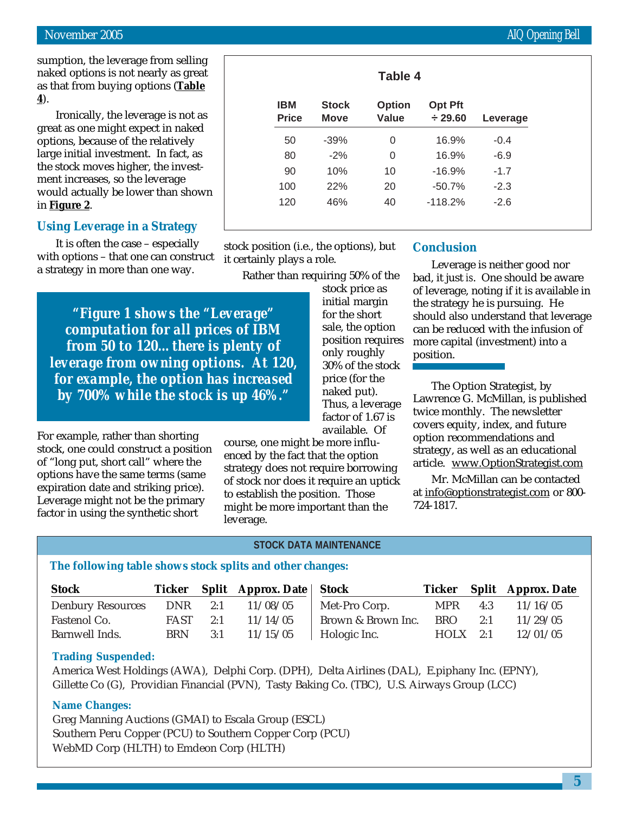sumption, the leverage from selling naked options is not nearly as great as that from buying options (**Table 4**).

Ironically, the leverage is not as great as one might expect in naked options, because of the relatively large initial investment. In fact, as the stock moves higher, the investment increases, so the leverage would actually be lower than shown in **Figure 2**.

## **Using Leverage in a Strategy**

It is often the case – especially with options – that one can construct a strategy in more than one way.

*"Figure 1 shows the "Leverage" computation for all prices of IBM from 50 to 120…there is plenty of leverage from owning options. At 120, for example, the option has increased by 700% while the stock is up 46%."*

For example, rather than shorting stock, one could construct a position of "long put, short call" where the options have the same terms (same expiration date and striking price). Leverage might not be the primary factor in using the synthetic short

Rather than requiring 50% of the stock price as initial margin for the short sale, the option position requires

stock position (i.e., the options), but

it certainly plays a role.

only roughly 30% of the stock price (for the naked put). Thus, a leverage factor of 1.67 is available. Of

course, one might be more influenced by the fact that the option strategy does not require borrowing of stock nor does it require an uptick to establish the position. Those might be more important than the leverage.

## **Conclusion**

Leverage is neither good nor bad, it just *is*. One should be aware of leverage, noting if it is available in the strategy he is pursuing. He should also understand that leverage can be reduced with the infusion of more capital (investment) into a position.

The Option Strategist, by Lawrence G. McMillan, is published twice monthly. The newsletter covers equity, index, and future option recommendations and strategy, as well as an educational article. www.OptionStrategist.com

Mr. McMillan can be contacted at info@optionstrategist.com or 800- 724-1817.

## **STOCK DATA MAINTENANCE**

## **The following table shows stock splits and other changes:**

| <b>Stock</b>             |            |     | Ticker Split Approx. Date Stock |                    |             |     | Ticker Split Approx. Date |
|--------------------------|------------|-----|---------------------------------|--------------------|-------------|-----|---------------------------|
| <b>Denbury Resources</b> | DNR        | 2:1 | 11/08/05                        | Met-Pro Corp.      | <b>MPR</b>  | 4:3 | 11/16/05                  |
| Fastenol Co.             | FAST       | 2:1 | 11/14/05                        | Brown & Brown Inc. | <b>BRO</b>  | 2:1 | 11/29/05                  |
| Barnwell Inds.           | <b>BRN</b> | 3:1 | 11/15/05                        | Hologic Inc.       | <b>HOLX</b> | 2:1 | 12/01/05                  |

### **Trading Suspended:**

America West Holdings (AWA), Delphi Corp. (DPH), Delta Airlines (DAL), E.piphany Inc. (EPNY), Gillette Co (G), Providian Financial (PVN), Tasty Baking Co. (TBC), U.S. Airways Group (LCC)

## **Name Changes:**

Greg Manning Auctions (GMAI) to Escala Group (ESCL) Southern Peru Copper (PCU) to Southern Copper Corp (PCU) WebMD Corp (HLTH) to Emdeon Corp (HLTH)

**Table 4**

| <b>IBM</b><br><b>Price</b> | <b>Stock</b><br><b>Move</b> | <b>Option</b><br>Value | <b>Opt Pft</b><br>$\div$ 29.60 | Leverage |
|----------------------------|-----------------------------|------------------------|--------------------------------|----------|
|                            |                             |                        |                                |          |
| 50                         | $-39%$                      | 0                      | 16.9%                          | $-0.4$   |
| 80                         | $-2\%$                      | 0                      | 16.9%                          | $-6.9$   |
| 90                         | 10%                         | 10                     | $-16.9%$                       | $-1.7$   |
| 100                        | 22%                         | 20                     | $-50.7%$                       | $-2.3$   |
| 120                        | 46%                         | 40                     | $-118.2%$                      | $-2.6$   |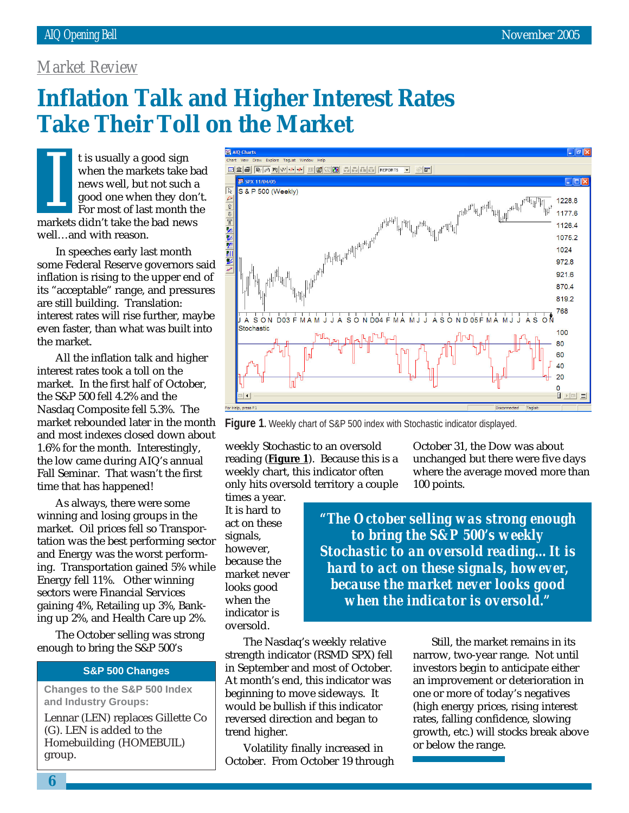## *Market Review*

# **Inflation Talk and Higher Interest Rates Take Their Toll on the Market**

t is usually a good sign when the markets take bad news well, but not such a good one when they don't. For most of last month the I is usually a good sign<br>when the markets take b<br>news well, but not such a<br>good one when they don<br>For most of last month the<br>markets didn't take the bad news well…and with reason.

In speeches early last month some Federal Reserve governors said inflation is rising to the upper end of its "acceptable" range, and pressures are still building. Translation: interest rates will rise further, maybe even faster, than what was built into the market.

All the inflation talk and higher interest rates took a toll on the market. In the first half of October, the S&P 500 fell 4.2% and the Nasdaq Composite fell 5.3%. The market rebounded later in the month and most indexes closed down about 1.6% for the month. Interestingly, the low came during AIQ's annual Fall Seminar. That wasn't the first time that has happened!

As always, there were some winning and losing groups in the market. Oil prices fell so Transportation was the best performing sector and Energy was the worst performing. Transportation gained 5% while Energy fell 11%. Other winning sectors were Financial Services gaining 4%, Retailing up 3%, Banking up 2%, and Health Care up 2%.

The October selling was strong enough to bring the S&P 500's

## **S&P 500 Changes**

**Changes to the S&P 500 Index and Industry Groups:**

Lennar (LEN) replaces Gillette Co (G). LEN is added to the Homebuilding (HOMEBUIL) group.



**Figure 1.** Weekly chart of S&P 500 index with Stochastic indicator displayed.

weekly Stochastic to an oversold reading (**Figure 1**). Because this is a weekly chart, this indicator often only hits oversold territory a couple

times a year. It is hard to act on these signals, however, because the market never looks good when the indicator is oversold.

October 31, the Dow was about unchanged but there were five days where the average moved more than 100 points.

*"The October selling was strong enough to bring the S&P 500's weekly Stochastic to an oversold reading…It is hard to act on these signals, however, because the market never looks good when the indicator is oversold."*

The Nasdaq's weekly relative strength indicator (RSMD SPX) fell in September and most of October. At month's end, this indicator was beginning to move sideways. It would be bullish if this indicator reversed direction and began to trend higher.

Volatility finally increased in October. From October 19 through

Still, the market remains in its narrow, two-year range. Not until investors begin to anticipate either an improvement or deterioration in one or more of today's negatives (high energy prices, rising interest rates, falling confidence, slowing growth, etc.) will stocks break above or below the range.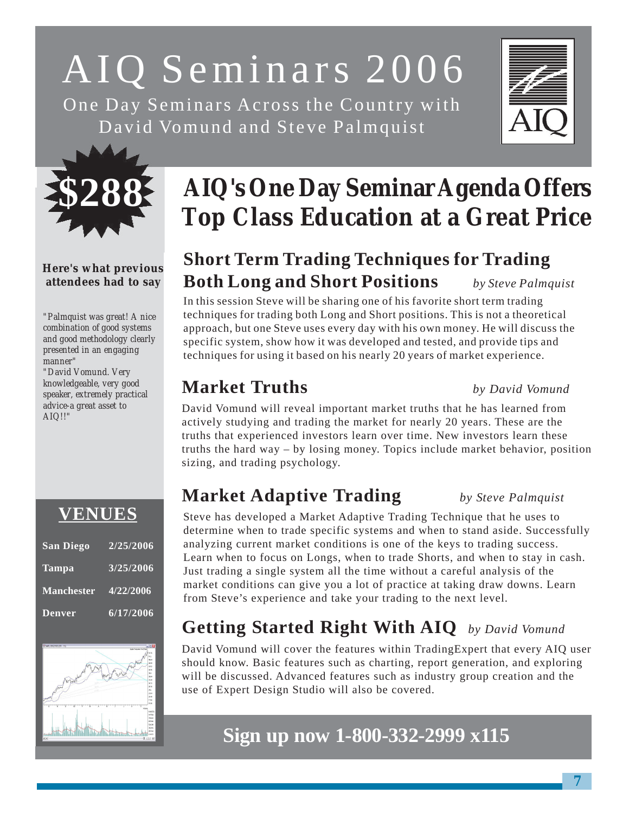# AIQ Seminars 2006 One Day Seminars Across the Country with

David Vomund and Steve Palmquist





## **Here's what previous attendees had to say**

*"Palmquist was great! A nice combination of good systems and good methodology clearly presented in an engaging manner"*

*"David Vomund. Very knowledgeable, very good speaker, extremely practical advice-a great asset to AIQ!!"*

| <b>VENUES</b> |           |
|---------------|-----------|
| San Diego     | 2/25/2006 |

## **Tampa 3/25/2006 Manchester 4/22/2006 Denver 6/17/2006**



# **AIQ's One Day Seminar Agenda Offers Top Class Education at a Great Price**

# **Short Term Trading Techniques for Trading Both Long and Short Positions** *by Steve Palmquist*

In this session Steve will be sharing one of his favorite short term trading techniques for trading both Long and Short positions. This is not a theoretical approach, but one Steve uses every day with his own money. He will discuss the specific system, show how it was developed and tested, and provide tips and techniques for using it based on his nearly 20 years of market experience.

# **Market Truths** *by David Vomund*

David Vomund will reveal important market truths that he has learned from actively studying and trading the market for nearly 20 years. These are the truths that experienced investors learn over time. New investors learn these truths the hard way – by losing money. Topics include market behavior, position sizing, and trading psychology.

# **Market Adaptive Trading** *by Steve Palmquist*

Steve has developed a Market Adaptive Trading Technique that he uses to determine when to trade specific systems and when to stand aside. Successfully analyzing current market conditions is one of the keys to trading success. Learn when to focus on Longs, when to trade Shorts, and when to stay in cash. Just trading a single system all the time without a careful analysis of the market conditions can give you a lot of practice at taking draw downs. Learn from Steve's experience and take your trading to the next level.

# **Getting Started Right With AIQ** *by David Vomund*

David Vomund will cover the features within TradingExpert that every AIQ user should know. Basic features such as charting, report generation, and exploring will be discussed. Advanced features such as industry group creation and the use of Expert Design Studio will also be covered.

# **Sign up now 1-800-332-2999 x115**